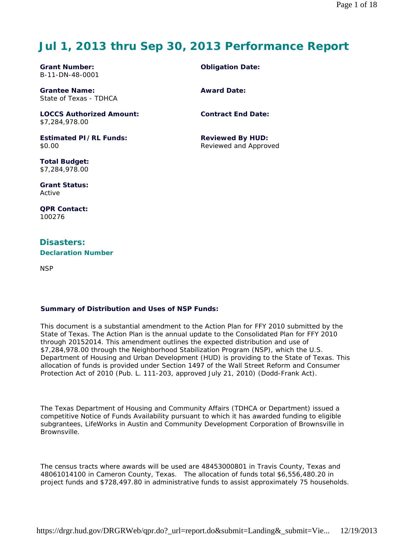# **Jul 1, 2013 thru Sep 30, 2013 Performance Report**

**Grant Number:** B-11-DN-48-0001

**Grantee Name:** State of Texas - TDHCA

**LOCCS Authorized Amount:** \$7,284,978.00

**Estimated PI/RL Funds:** \$0.00

**Total Budget:** \$7,284,978.00

**Grant Status:** Active

**QPR Contact:** 100276

## **Disasters: Declaration Number**

NSP

## **Summary of Distribution and Uses of NSP Funds:**

This document is a substantial amendment to the Action Plan for FFY 2010 submitted by the State of Texas. The Action Plan is the annual update to the Consolidated Plan for FFY 2010 through 20152014. This amendment outlines the expected distribution and use of \$7,284,978.00 through the Neighborhood Stabilization Program (NSP), which the U.S. Department of Housing and Urban Development (HUD) is providing to the State of Texas. This allocation of funds is provided under Section 1497 of the Wall Street Reform and Consumer Protection Act of 2010 (Pub. L. 111-203, approved July 21, 2010) (Dodd-Frank Act).

The Texas Department of Housing and Community Affairs (TDHCA or Department) issued a competitive Notice of Funds Availability pursuant to which it has awarded funding to eligible subgrantees, LifeWorks in Austin and Community Development Corporation of Brownsville in Brownsville.

The census tracts where awards will be used are 48453000801 in Travis County, Texas and 48061014100 in Cameron County, Texas. The allocation of funds total \$6,556,480.20 in project funds and \$728,497.80 in administrative funds to assist approximately 75 households.

**Obligation Date:**

**Award Date:**

**Contract End Date:**

**Reviewed By HUD:** Reviewed and Approved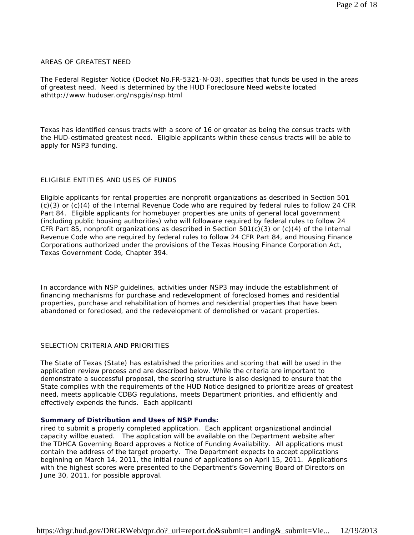### AREAS OF GREATEST NEED

The Federal Register Notice (Docket No.FR-5321-N-03), specifies that funds be used in the areas of greatest need. Need is determined by the HUD Foreclosure Need website located athttp://www.huduser.org/nspgis/nsp.html

Texas has identified census tracts with a score of 16 or greater as being the census tracts with the HUD-estimated greatest need. Eligible applicants within these census tracts will be able to apply for NSP3 funding.

## ELIGIBLE ENTITIES AND USES OF FUNDS

Eligible applicants for rental properties are nonprofit organizations as described in Section 501 (c)(3) or (c)(4) of the Internal Revenue Code who are required by federal rules to follow 24 CFR Part 84. Eligible applicants for homebuyer properties are units of general local government (including public housing authorities) who will followare required by federal rules to follow 24 CFR Part 85, nonprofit organizations as described in Section 501(c)(3) or (c)(4) of the Internal Revenue Code who are required by federal rules to follow 24 CFR Part 84, and Housing Finance Corporations authorized under the provisions of the Texas Housing Finance Corporation Act, Texas Government Code, Chapter 394.

In accordance with NSP guidelines, activities under NSP3 may include the establishment of financing mechanisms for purchase and redevelopment of foreclosed homes and residential properties, purchase and rehabilitation of homes and residential properties that have been abandoned or foreclosed, and the redevelopment of demolished or vacant properties.

## SELECTION CRITERIA AND PRIORITIES

The State of Texas (State) has established the priorities and scoring that will be used in the application review process and are described below. While the criteria are important to demonstrate a successful proposal, the scoring structure is also designed to ensure that the State complies with the requirements of the HUD Notice designed to prioritize areas of greatest need, meets applicable CDBG regulations, meets Department priorities, and efficiently and effectively expends the funds. Each applicanti

## **Summary of Distribution and Uses of NSP Funds:**

rired to submit a properly completed application. Each applicant organizational andincial capacity willbe euated. The application will be available on the Department website after the TDHCA Governing Board approves a Notice of Funding Availability. All applications must contain the address of the target property. The Department expects to accept applications beginning on March 14, 2011, the initial round of applications on April 15, 2011. Applications with the highest scores were presented to the Department's Governing Board of Directors on June 30, 2011, for possible approval.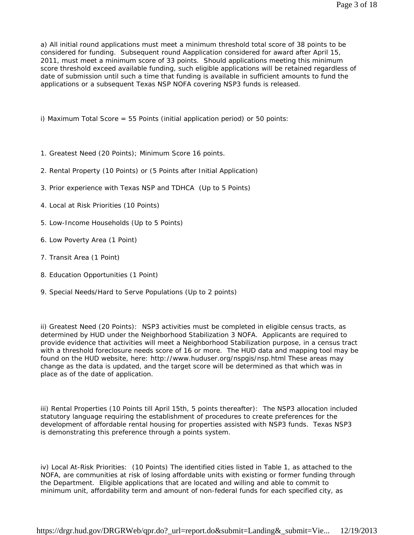a) All initial round applications must meet a minimum threshold total score of 38 points to be considered for funding. Subsequent round Aapplication considered for award after April 15, 2011, must meet a minimum score of 33 points. Should applications meeting this minimum score threshold exceed available funding, such eligible applications will be retained regardless of date of submission until such a time that funding is available in sufficient amounts to fund the applications or a subsequent Texas NSP NOFA covering NSP3 funds is released.

i) Maximum Total Score = 55 Points (initial application period) or 50 points:

- 1. Greatest Need (20 Points); Minimum Score 16 points.
- 2. Rental Property (10 Points) or (5 Points after Initial Application)
- 3. Prior experience with Texas NSP and TDHCA (Up to 5 Points)
- 4. Local at Risk Priorities (10 Points)
- 5. Low-Income Households (Up to 5 Points)
- 6. Low Poverty Area (1 Point)
- 7. Transit Area (1 Point)
- 8. Education Opportunities (1 Point)
- 9. Special Needs/Hard to Serve Populations (Up to 2 points)

ii) Greatest Need (20 Points): NSP3 activities must be completed in eligible census tracts, as determined by HUD under the Neighborhood Stabilization 3 NOFA. Applicants are required to provide evidence that activities will meet a Neighborhood Stabilization purpose, in a census tract with a threshold foreclosure needs score of 16 or more. The HUD data and mapping tool may be found on the HUD website, here: http://www.huduser.org/nspgis/nsp.html These areas may change as the data is updated, and the target score will be determined as that which was in place as of the date of application.

iii) Rental Properties (10 Points till April 15th, 5 points thereafter): The NSP3 allocation included statutory language requiring the establishment of procedures to create preferences for the development of affordable rental housing for properties assisted with NSP3 funds. Texas NSP3 is demonstrating this preference through a points system.

iv) Local At-Risk Priorities: (10 Points) The identified cities listed in Table 1, as attached to the NOFA, are communities at risk of losing affordable units with existing or former funding through the Department. Eligible applications that are located and willing and able to commit to minimum unit, affordability term and amount of non-federal funds for each specified city, as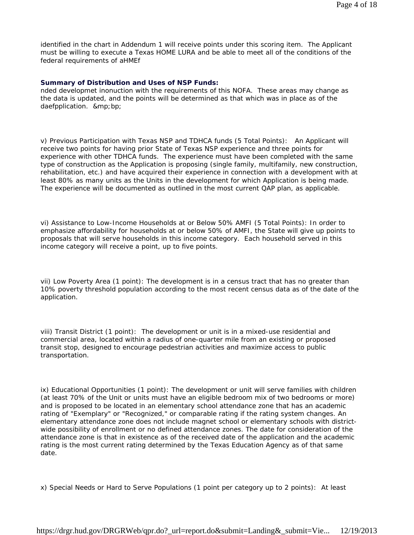identified in the chart in Addendum 1 will receive points under this scoring item. The Applicant must be willing to execute a Texas HOME LURA and be able to meet all of the conditions of the federal requirements of aHMEf

#### **Summary of Distribution and Uses of NSP Funds:**

nded developmet inonuction with the requirements of this NOFA. These areas may change as the data is updated, and the points will be determined as that which was in place as of the daefpplication. ∓bp;

v) Previous Participation with Texas NSP and TDHCA funds (5 Total Points): An Applicant will receive two points for having prior State of Texas NSP experience and three points for experience with other TDHCA funds. The experience must have been completed with the same type of construction as the Application is proposing (single family, multifamily, new construction, rehabilitation, etc.) and have acquired their experience in connection with a development with at least 80% as many units as the Units in the development for which Application is being made. The experience will be documented as outlined in the most current QAP plan, as applicable.

vi) Assistance to Low-Income Households at or Below 50% AMFI (5 Total Points): In order to emphasize affordability for households at or below 50% of AMFI, the State will give up points to proposals that will serve households in this income category. Each household served in this income category will receive a point, up to five points.

vii) Low Poverty Area (1 point): The development is in a census tract that has no greater than 10% poverty threshold population according to the most recent census data as of the date of the application.

viii) Transit District (1 point): The development or unit is in a mixed-use residential and commercial area, located within a radius of one-quarter mile from an existing or proposed transit stop, designed to encourage pedestrian activities and maximize access to public transportation.

ix) Educational Opportunities (1 point): The development or unit will serve families with children (at least 70% of the Unit or units must have an eligible bedroom mix of two bedrooms or more) and is proposed to be located in an elementary school attendance zone that has an academic rating of "Exemplary" or "Recognized," or comparable rating if the rating system changes. An elementary attendance zone does not include magnet school or elementary schools with districtwide possibility of enrollment or no defined attendance zones. The date for consideration of the attendance zone is that in existence as of the received date of the application and the academic rating is the most current rating determined by the Texas Education Agency as of that same date.

x) Special Needs or Hard to Serve Populations (1 point per category up to 2 points): At least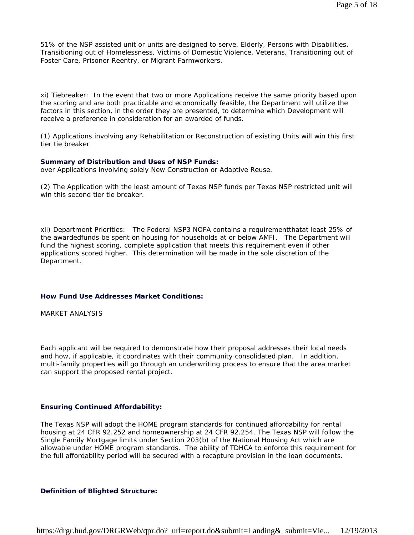51% of the NSP assisted unit or units are designed to serve, Elderly, Persons with Disabilities, Transitioning out of Homelessness, Victims of Domestic Violence, Veterans, Transitioning out of Foster Care, Prisoner Reentry, or Migrant Farmworkers.

xi) Tiebreaker: In the event that two or more Applications receive the same priority based upon the scoring and are both practicable and economically feasible, the Department will utilize the factors in this section, in the order they are presented, to determine which Development will receive a preference in consideration for an awarded of funds.

(1) Applications involving any Rehabilitation or Reconstruction of existing Units will win this first tier tie breaker

#### **Summary of Distribution and Uses of NSP Funds:**

over Applications involving solely New Construction or Adaptive Reuse.

(2) The Application with the least amount of Texas NSP funds per Texas NSP restricted unit will win this second tier tie breaker

xii) Department Priorities: The Federal NSP3 NOFA contains a requirementthatat least 25% of the awardedfunds be spent on housing for households at or below AMFI. The Department will fund the highest scoring, complete application that meets this requirement even if other applications scored higher. This determination will be made in the sole discretion of the Department.

#### **How Fund Use Addresses Market Conditions:**

MARKET ANALYSIS

Each applicant will be required to demonstrate how their proposal addresses their local needs and how, if applicable, it coordinates with their community consolidated plan. In addition, multi-family properties will go through an underwriting process to ensure that the area market can support the proposed rental project.

### **Ensuring Continued Affordability:**

The Texas NSP will adopt the HOME program standards for continued affordability for rental housing at 24 CFR 92.252 and homeownership at 24 CFR 92.254. The Texas NSP will follow the Single Family Mortgage limits under Section 203(b) of the National Housing Act which are allowable under HOME program standards. The ability of TDHCA to enforce this requirement for the full affordability period will be secured with a recapture provision in the loan documents.

#### **Definition of Blighted Structure:**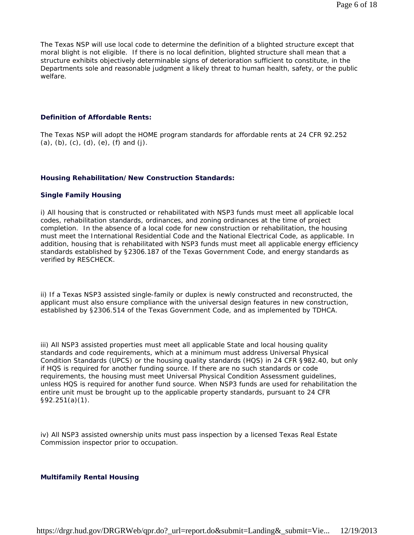The Texas NSP will use local code to determine the definition of a blighted structure except that moral blight is not eligible. If there is no local definition, blighted structure shall mean that a structure exhibits objectively determinable signs of deterioration sufficient to constitute, in the Departments sole and reasonable judgment a likely threat to human health, safety, or the public welfare.

### **Definition of Affordable Rents:**

The Texas NSP will adopt the HOME program standards for affordable rents at 24 CFR 92.252  $(a)$ ,  $(b)$ ,  $(c)$ ,  $(d)$ ,  $(e)$ ,  $(f)$  and  $(j)$ .

#### **Housing Rehabilitation/New Construction Standards:**

#### **Single Family Housing**

i) All housing that is constructed or rehabilitated with NSP3 funds must meet all applicable local codes, rehabilitation standards, ordinances, and zoning ordinances at the time of project completion. In the absence of a local code for new construction or rehabilitation, the housing must meet the International Residential Code and the National Electrical Code, as applicable. In addition, housing that is rehabilitated with NSP3 funds must meet all applicable energy efficiency standards established by §2306.187 of the Texas Government Code, and energy standards as verified by RESCHECK.

ii) If a Texas NSP3 assisted single-family or duplex is newly constructed and reconstructed, the applicant must also ensure compliance with the universal design features in new construction, established by §2306.514 of the Texas Government Code, and as implemented by TDHCA.

iii) All NSP3 assisted properties must meet all applicable State and local housing quality standards and code requirements, which at a minimum must address Universal Physical Condition Standards (UPCS) or the housing quality standards (HQS) in 24 CFR §982.40, but only if HQS is required for another funding source. If there are no such standards or code requirements, the housing must meet Universal Physical Condition Assessment guidelines, unless HQS is required for another fund source. When NSP3 funds are used for rehabilitation the entire unit must be brought up to the applicable property standards, pursuant to 24 CFR §92.251(a)(1).

iv) All NSP3 assisted ownership units must pass inspection by a licensed Texas Real Estate Commission inspector prior to occupation.

## **Multifamily Rental Housing**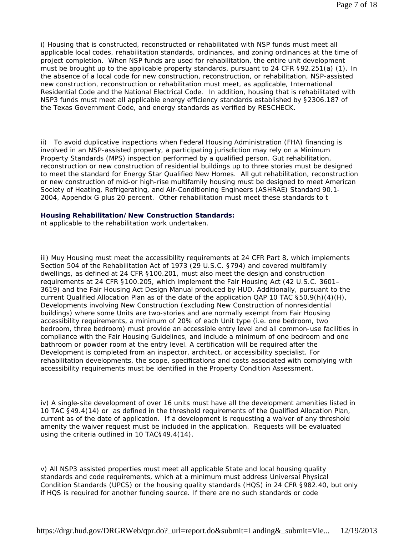i) Housing that is constructed, reconstructed or rehabilitated with NSP funds must meet all applicable local codes, rehabilitation standards, ordinances, and zoning ordinances at the time of project completion. When NSP funds are used for rehabilitation, the entire unit development must be brought up to the applicable property standards, pursuant to 24 CFR §92.251(a) (1). In the absence of a local code for new construction, reconstruction, or rehabilitation, NSP-assisted new construction, reconstruction or rehabilitation must meet, as applicable, International Residential Code and the National Electrical Code. In addition, housing that is rehabilitated with NSP3 funds must meet all applicable energy efficiency standards established by §2306.187 of the Texas Government Code, and energy standards as verified by RESCHECK.

ii) To avoid duplicative inspections when Federal Housing Administration (FHA) financing is involved in an NSP-assisted property, a participating jurisdiction may rely on a Minimum Property Standards (MPS) inspection performed by a qualified person. Gut rehabilitation, reconstruction or new construction of residential buildings up to three stories must be designed to meet the standard for Energy Star Qualified New Homes. All gut rehabilitation, reconstruction or new construction of mid-or high-rise multifamily housing must be designed to meet American Society of Heating, Refrigerating, and Air-Conditioning Engineers (ASHRAE) Standard 90.1- 2004, Appendix G plus 20 percent. Other rehabilitation must meet these standards to t

### **Housing Rehabilitation/New Construction Standards:**

nt applicable to the rehabilitation work undertaken.

iii) Muy Housing must meet the accessibility requirements at 24 CFR Part 8, which implements Section 504 of the Rehabilitation Act of 1973 (29 U.S.C. §794) and covered multifamily dwellings, as defined at 24 CFR §100.201, must also meet the design and construction requirements at 24 CFR §100.205, which implement the Fair Housing Act (42 U.S.C. 3601– 3619) and the Fair Housing Act Design Manual produced by HUD. Additionally, pursuant to the current Qualified Allocation Plan as of the date of the application QAP 10 TAC §50.9(h)(4)(H), Developments involving New Construction (excluding New Construction of nonresidential buildings) where some Units are two-stories and are normally exempt from Fair Housing accessibility requirements, a minimum of 20% of each Unit type (i.e. one bedroom, two bedroom, three bedroom) must provide an accessible entry level and all common-use facilities in compliance with the Fair Housing Guidelines, and include a minimum of one bedroom and one bathroom or powder room at the entry level. A certification will be required after the Development is completed from an inspector, architect, or accessibility specialist. For rehabilitation developments, the scope, specifications and costs associated with complying with accessibility requirements must be identified in the Property Condition Assessment.

iv) A single-site development of over 16 units must have all the development amenities listed in 10 TAC §49.4(14) or as defined in the threshold requirements of the Qualified Allocation Plan, current as of the date of application. If a development is requesting a waiver of any threshold amenity the waiver request must be included in the application. Requests will be evaluated using the criteria outlined in 10 TAC§49.4(14).

v) All NSP3 assisted properties must meet all applicable State and local housing quality standards and code requirements, which at a minimum must address Universal Physical Condition Standards (UPCS) or the housing quality standards (HQS) in 24 CFR §982.40, but only if HQS is required for another funding source. If there are no such standards or code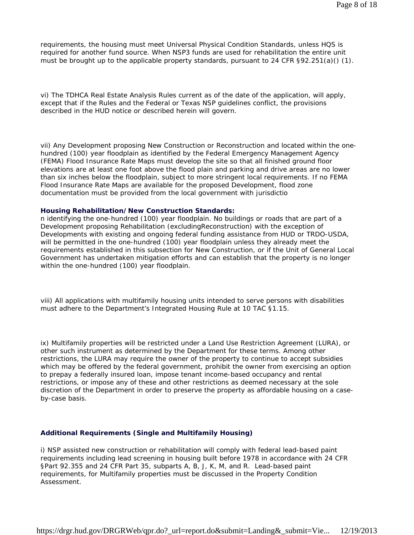requirements, the housing must meet Universal Physical Condition Standards, unless HQS is required for another fund source. When NSP3 funds are used for rehabilitation the entire unit must be brought up to the applicable property standards, pursuant to 24 CFR  $\S92.251(a)$  (1).

vi) The TDHCA Real Estate Analysis Rules current as of the date of the application, will apply, except that if the Rules and the Federal or Texas NSP guidelines conflict, the provisions described in the HUD notice or described herein will govern.

vii) Any Development proposing New Construction or Reconstruction and located within the onehundred (100) year floodplain as identified by the Federal Emergency Management Agency (FEMA) Flood Insurance Rate Maps must develop the site so that all finished ground floor elevations are at least one foot above the flood plain and parking and drive areas are no lower than six inches below the floodplain, subject to more stringent local requirements. If no FEMA Flood Insurance Rate Maps are available for the proposed Development, flood zone documentation must be provided from the local government with jurisdictio

#### **Housing Rehabilitation/New Construction Standards:**

n identifying the one-hundred (100) year floodplain. No buildings or roads that are part of a Development proposing Rehabilitation (excludingReconstruction) with the exception of Developments with existing and ongoing federal funding assistance from HUD or TRDO-USDA, will be permitted in the one-hundred (100) year floodplain unless they already meet the requirements established in this subsection for New Construction, or if the Unit of General Local Government has undertaken mitigation efforts and can establish that the property is no longer within the one-hundred (100) year floodplain.

viii) All applications with multifamily housing units intended to serve persons with disabilities must adhere to the Department's Integrated Housing Rule at 10 TAC §1.15.

ix) Multifamily properties will be restricted under a Land Use Restriction Agreement (LURA), or other such instrument as determined by the Department for these terms. Among other restrictions, the LURA may require the owner of the property to continue to accept subsidies which may be offered by the federal government, prohibit the owner from exercising an option to prepay a federally insured loan, impose tenant income-based occupancy and rental restrictions, or impose any of these and other restrictions as deemed necessary at the sole discretion of the Department in order to preserve the property as affordable housing on a caseby-case basis.

#### **Additional Requirements (Single and Multifamily Housing)**

i) NSP assisted new construction or rehabilitation will comply with federal lead-based paint requirements including lead screening in housing built before 1978 in accordance with 24 CFR §Part 92.355 and 24 CFR Part 35, subparts A, B, J, K, M, and R. Lead-based paint requirements, for Multifamily properties must be discussed in the Property Condition Assessment.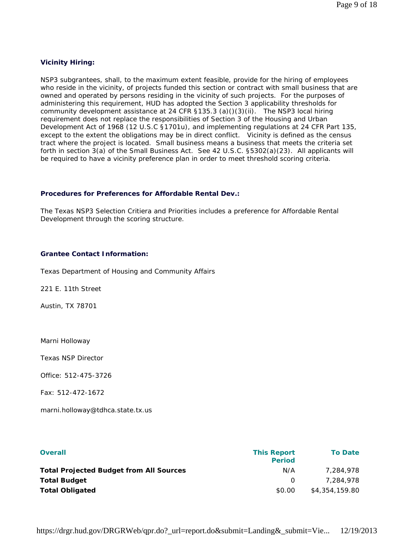## **Vicinity Hiring:**

NSP3 subgrantees, shall, to the maximum extent feasible, provide for the hiring of employees who reside in the vicinity, of projects funded this section or contract with small business that are owned and operated by persons residing in the vicinity of such projects. For the purposes of administering this requirement, HUD has adopted the Section 3 applicability thresholds for community development assistance at 24 CFR §135.3 (a)()(3)(ii). The NSP3 local hiring requirement does not replace the responsibilities of Section 3 of the Housing and Urban Development Act of 1968 (12 U.S.C §1701u), and implementing regulations at 24 CFR Part 135, except to the extent the obligations may be in direct conflict. Vicinity is defined as the census tract where the project is located. Small business means a business that meets the criteria set forth in section 3(a) of the Small Business Act. See 42 U.S.C. §5302(a)(23). All applicants will be required to have a vicinity preference plan in order to meet threshold scoring criteria.

## **Procedures for Preferences for Affordable Rental Dev.:**

The Texas NSP3 Selection Critiera and Priorities includes a preference for Affordable Rental Development through the scoring structure.

## **Grantee Contact Information:**

Texas Department of Housing and Community Affairs

221 E. 11th Street

Austin, TX 78701

Marni Holloway

Texas NSP Director

Office: 512-475-3726

Fax: 512-472-1672

marni.holloway@tdhca.state.tx.us

| <b>Overall</b>                                 | <b>This Report</b><br><b>Period</b> | <b>To Date</b> |
|------------------------------------------------|-------------------------------------|----------------|
| <b>Total Projected Budget from All Sources</b> | N/A                                 | 7.284.978      |
| <b>Total Budget</b>                            | $\Omega$                            | 7.284.978      |
| <b>Total Obligated</b>                         | \$0.00                              | \$4,354,159.80 |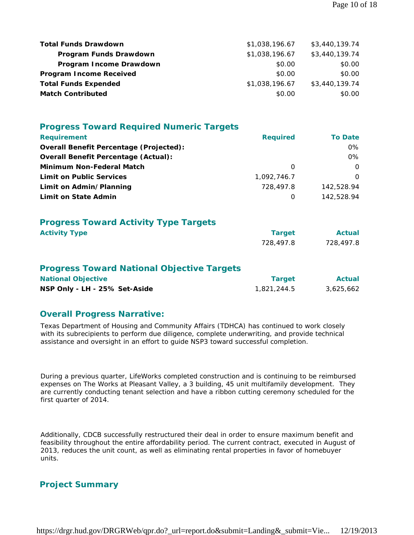| <b>Total Funds Drawdown</b>    | \$1,038,196.67 | \$3,440,139.74 |
|--------------------------------|----------------|----------------|
| Program Funds Drawdown         | \$1,038,196.67 | \$3,440,139.74 |
| Program Income Drawdown        | \$0.00         | \$0.00         |
| <b>Program Income Received</b> | \$0.00         | \$0.00         |
| <b>Total Funds Expended</b>    | \$1,038,196.67 | \$3,440,139.74 |
| <b>Match Contributed</b>       | \$0.00         | \$0.00         |

| <b>Progress Toward Required Numeric Targets</b>                                                                 |                              |                            |
|-----------------------------------------------------------------------------------------------------------------|------------------------------|----------------------------|
| <b>Requirement</b>                                                                                              | <b>Required</b>              | <b>To Date</b>             |
| <b>Overall Benefit Percentage (Projected):</b>                                                                  |                              | $0\%$                      |
| <b>Overall Benefit Percentage (Actual):</b>                                                                     |                              | $0\%$                      |
| Minimum Non-Federal Match                                                                                       | $\Omega$                     | $\Omega$                   |
| <b>Limit on Public Services</b>                                                                                 | 1.092.746.7                  | $\Omega$                   |
| Limit on Admin/Planning                                                                                         | 728,497.8                    | 142,528.94                 |
| Limit on State Admin                                                                                            | 0                            | 142,528.94                 |
| <b>Progress Toward Activity Type Targets</b><br><b>Activity Type</b>                                            | <b>Target</b><br>728,497.8   | <b>Actual</b><br>728,497.8 |
| <b>Progress Toward National Objective Targets</b><br><b>National Objective</b><br>NSP Only - LH - 25% Set-Aside | <b>Target</b><br>1,821,244.5 | <b>Actual</b><br>3,625,662 |

## **Overall Progress Narrative:**

Texas Department of Housing and Community Affairs (TDHCA) has continued to work closely with its subrecipients to perform due diligence, complete underwriting, and provide technical assistance and oversight in an effort to guide NSP3 toward successful completion.

During a previous quarter, LifeWorks completed construction and is continuing to be reimbursed expenses on The Works at Pleasant Valley, a 3 building, 45 unit multifamily development. They are currently conducting tenant selection and have a ribbon cutting ceremony scheduled for the first quarter of 2014.

Additionally, CDCB successfully restructured their deal in order to ensure maximum benefit and feasibility throughout the entire affordability period. The current contract, executed in August of 2013, reduces the unit count, as well as eliminating rental properties in favor of homebuyer units.

# **Project Summary**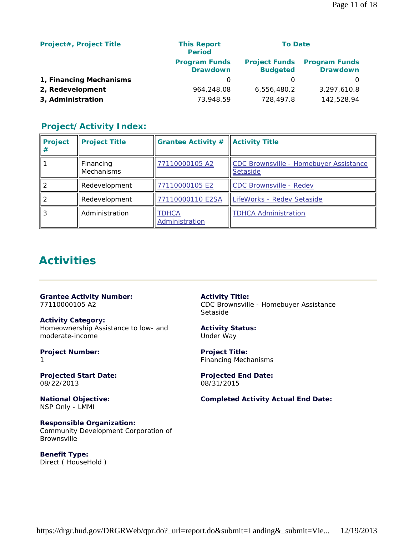| <b>Project#, Project Title</b> | <b>This Report</b><br><b>Period</b>     | <b>To Date</b>                          |                                         |
|--------------------------------|-----------------------------------------|-----------------------------------------|-----------------------------------------|
|                                | <b>Program Funds</b><br><b>Drawdown</b> | <b>Project Funds</b><br><b>Budgeted</b> | <b>Program Funds</b><br><b>Drawdown</b> |
| 1, Financing Mechanisms        | O                                       |                                         | $\Omega$                                |
| 2, Redevelopment               | 964,248.08                              | 6,556,480.2                             | 3,297,610.8                             |
| 3, Administration              | 73,948.59                               | 728,497.8                               | 142,528.94                              |

# **Project/Activity Index:**

| <b>Project</b><br># | <b>Project Title</b>           | <b>Grantee Activity #</b> | <b>Activity Title</b>                                     |
|---------------------|--------------------------------|---------------------------|-----------------------------------------------------------|
|                     | Financing<br><b>Mechanisms</b> | 77110000105 A2            | CDC Brownsville - Homebuyer Assistance<br><b>Setaside</b> |
|                     | Redevelopment                  | 77110000105 E2            | CDC Brownsville - Redev                                   |
|                     | Redevelopment                  | 77110000110 E2SA          | LifeWorks - Redev Setaside                                |
|                     | Administration                 | TDHCA<br>Administration   | <b>TDHCA Administration</b>                               |

# **Activities**

**Grantee Activity Number:** 77110000105 A2

**Activity Category:** Homeownership Assistance to low- and moderate-income

**Project Number:** 1

**Projected Start Date:** 08/22/2013

**National Objective:** NSP Only - LMMI

**Responsible Organization:** Community Development Corporation of Brownsville

**Benefit Type:**  Direct ( HouseHold ) **Activity Title:** CDC Brownsville - Homebuyer Assistance Setaside

**Activity Status:** Under Way

**Project Title:** Financing Mechanisms

**Projected End Date:** 08/31/2015

**Completed Activity Actual End Date:**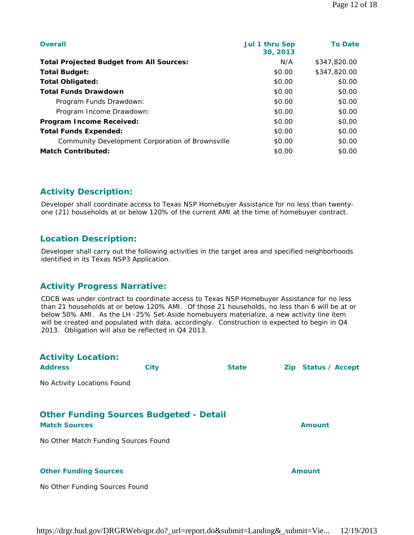| <b>Overall</b>                                   | Jul 1 thru Sep<br>30, 2013 | <b>To Date</b> |
|--------------------------------------------------|----------------------------|----------------|
| <b>Total Projected Budget from All Sources:</b>  | N/A                        | \$347,820,00   |
| <b>Total Budget:</b>                             | \$0.00                     | \$347,820.00   |
| <b>Total Obligated:</b>                          | \$0.00                     | \$0.00         |
| <b>Total Funds Drawdown</b>                      | \$0.00                     | \$0.00         |
| Program Funds Drawdown:                          | \$0.00                     | \$0.00         |
| Program Income Drawdown:                         | \$0.00                     | \$0.00         |
| Program Income Received:                         | \$0.00                     | \$0.00         |
| <b>Total Funds Expended:</b>                     | \$0.00                     | \$0.00         |
| Community Development Corporation of Brownsville | \$0.00                     | \$0.00         |
| <b>Match Contributed:</b>                        | \$0.00                     | \$0.00         |

# **Activity Description:**

Developer shall coordinate access to Texas NSP Homebuyer Assistance for no less than twentyone (21) households at or below 120% of the current AMI at the time of homebuyer contract.

## **Location Description:**

Developer shall carry out the following activities in the target area and specified neighborhoods identified in its Texas NSP3 Application.

## **Activity Progress Narrative:**

CDCB was under contract to coordinate access to Texas NSP Homebuyer Assistance for no less than 21 households at or below 120% AMI. Of those 21 households, no less than 6 will be at or below 50% AMI. As the LH -25% Set-Aside homebuyers materialize, a new activity line item will be created and populated with data, accordingly. Construction is expected to begin in Q4 2013. Obligation will also be reflected in Q4 2013.

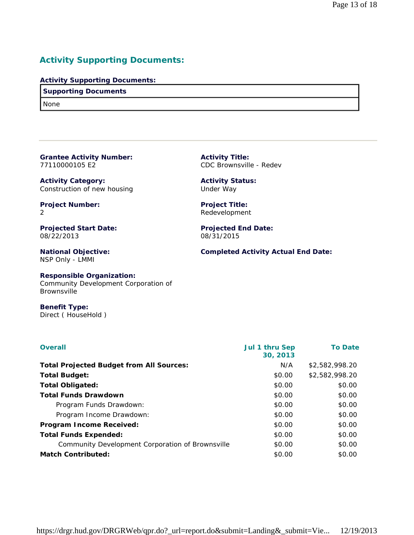# **Activity Supporting Documents:**

## **Activity Supporting Documents:**

## **Supporting Documents**

None

| <b>Grantee Activity Number:</b> |  |
|---------------------------------|--|
| 77110000105 E2                  |  |

**Activity Category:** Construction of new housing

**Project Number:** 2

**Projected Start Date:** 08/22/2013

**National Objective:** NSP Only - LMMI

**Activity Title:** CDC Brownsville - Redev

**Activity Status:** Under Way

**Project Title:** Redevelopment

**Projected End Date:** 08/31/2015

**Completed Activity Actual End Date:**

# **Responsible Organization:**

Community Development Corporation of Brownsville

**Benefit Type:**  Direct ( HouseHold )

| <b>Overall</b>                                   | <b>Jul 1 thru Sep</b><br>30, 2013 | <b>To Date</b> |
|--------------------------------------------------|-----------------------------------|----------------|
| <b>Total Projected Budget from All Sources:</b>  | N/A                               | \$2,582,998.20 |
| <b>Total Budget:</b>                             | \$0.00                            | \$2.582.998.20 |
| <b>Total Obligated:</b>                          | \$0.00                            | \$0.00         |
| <b>Total Funds Drawdown</b>                      | \$0.00                            | \$0.00         |
| Program Funds Drawdown:                          | \$0.00                            | \$0.00         |
| Program Income Drawdown:                         | \$0.00                            | \$0.00         |
| <b>Program Income Received:</b>                  | \$0.00                            | \$0.00         |
| <b>Total Funds Expended:</b>                     | \$0.00                            | \$0.00         |
| Community Development Corporation of Brownsville | \$0.00                            | \$0.00         |
| <b>Match Contributed:</b>                        | \$0.00                            | \$0.00         |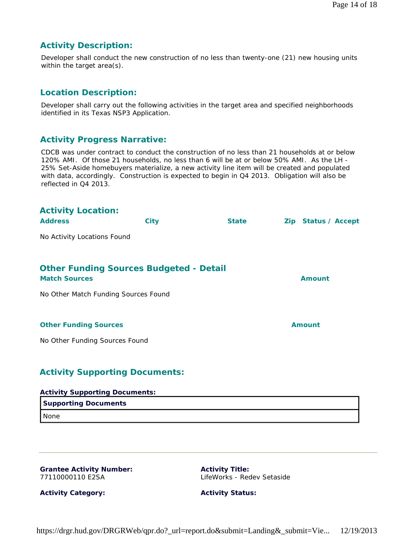## **Activity Description:**

Developer shall conduct the new construction of no less than twenty-one (21) new housing units within the target area(s).

# **Location Description:**

Developer shall carry out the following activities in the target area and specified neighborhoods identified in its Texas NSP3 Application.

# **Activity Progress Narrative:**

CDCB was under contract to conduct the construction of no less than 21 households at or below 120% AMI. Of those 21 households, no less than 6 will be at or below 50% AMI. As the LH - 25% Set-Aside homebuyers materialize, a new activity line item will be created and populated with data, accordingly. Construction is expected to begin in Q4 2013. Obligation will also be reflected in Q4 2013.

| <b>Activity Location:</b><br><b>Address</b>                            | <b>City</b> | <b>State</b> | Zip Status / Accept |
|------------------------------------------------------------------------|-------------|--------------|---------------------|
| No Activity Locations Found                                            |             |              |                     |
|                                                                        |             |              |                     |
| <b>Other Funding Sources Budgeted - Detail</b><br><b>Match Sources</b> |             |              | <b>Amount</b>       |
| No Other Match Funding Sources Found                                   |             |              |                     |
|                                                                        |             |              |                     |
| <b>Other Funding Sources</b>                                           |             |              | <b>Amount</b>       |
| No Other Funding Sources Found                                         |             |              |                     |
|                                                                        |             |              |                     |
| <b>Activity Supporting Documents:</b>                                  |             |              |                     |
| <b>Activity Supporting Documents:</b>                                  |             |              |                     |

# **Supporting Documents** None

## **Grantee Activity Number:** 77110000110 E2SA

**Activity Title:** LifeWorks - Redev Setaside

**Activity Category:**

**Activity Status:**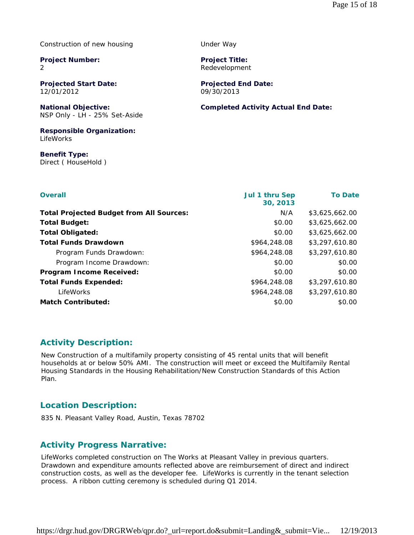Construction of new housing

**Project Number:** 2

**Projected Start Date:** 12/01/2012

**National Objective:** NSP Only - LH - 25% Set-Aside

**Responsible Organization:** LifeWorks

**Benefit Type:**  Direct ( HouseHold )

| <b>Overall</b>                                  | <b>Jul 1 thru Sep</b><br>30, 2013 | <b>To Date</b> |
|-------------------------------------------------|-----------------------------------|----------------|
| <b>Total Projected Budget from All Sources:</b> | N/A                               | \$3,625,662.00 |
| <b>Total Budget:</b>                            | \$0.00                            | \$3,625,662.00 |
| <b>Total Obligated:</b>                         | \$0.00                            | \$3,625,662.00 |
| <b>Total Funds Drawdown</b>                     | \$964,248.08                      | \$3,297,610.80 |
| Program Funds Drawdown:                         | \$964,248.08                      | \$3,297,610.80 |
| Program Income Drawdown:                        | \$0.00                            | \$0.00         |
| <b>Program Income Received:</b>                 | \$0.00                            | \$0.00         |
| <b>Total Funds Expended:</b>                    | \$964,248.08                      | \$3,297,610.80 |
| LifeWorks                                       | \$964,248.08                      | \$3,297,610.80 |
| <b>Match Contributed:</b>                       | \$0.00                            | \$0.00         |

# **Activity Description:**

New Construction of a multifamily property consisting of 45 rental units that will benefit households at or below 50% AMI. The construction will meet or exceed the Multifamily Rental Housing Standards in the Housing Rehabilitation/New Construction Standards of this Action Plan.

## **Location Description:**

835 N. Pleasant Valley Road, Austin, Texas 78702

# **Activity Progress Narrative:**

LifeWorks completed construction on The Works at Pleasant Valley in previous quarters. Drawdown and expenditure amounts reflected above are reimbursement of direct and indirect construction costs, as well as the developer fee. LifeWorks is currently in the tenant selection process. A ribbon cutting ceremony is scheduled during Q1 2014.

https://drgr.hud.gov/DRGRWeb/qpr.do?\_url=report.do&submit=Landing&\_submit=Vie... 12/19/2013

Under Way

**Project Title:** Redevelopment

**Projected End Date:** 09/30/2013

## **Completed Activity Actual End Date:**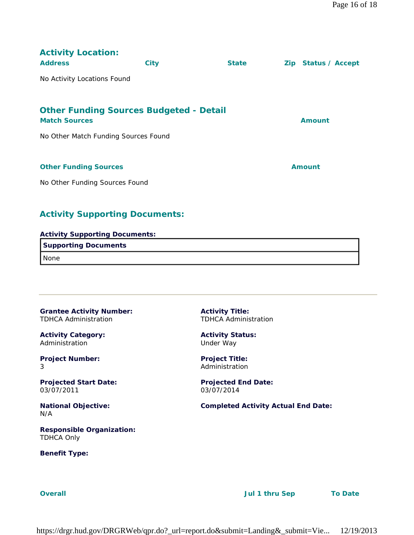| <b>Activity Location:</b><br><b>Address</b>                            | <b>City</b> | <b>State</b> | Zip Status / Accept |
|------------------------------------------------------------------------|-------------|--------------|---------------------|
| No Activity Locations Found                                            |             |              |                     |
|                                                                        |             |              |                     |
| <b>Other Funding Sources Budgeted - Detail</b><br><b>Match Sources</b> |             |              | <b>Amount</b>       |
| No Other Match Funding Sources Found                                   |             |              |                     |
|                                                                        |             |              |                     |
| <b>Other Funding Sources</b>                                           |             |              | <b>Amount</b>       |
| No Other Funding Sources Found                                         |             |              |                     |

# **Activity Supporting Documents:**

| <b>Activity Supporting Documents:</b> |
|---------------------------------------|
| <b>Supporting Documents</b>           |
| I None                                |

**Grantee Activity Number:** TDHCA Administration

**Activity Category:** Administration

**Project Number:** 3

**Projected Start Date:** 03/07/2011

**National Objective:** N/A

**Responsible Organization:** TDHCA Only

**Benefit Type:** 

**Activity Title:** TDHCA Administration

**Activity Status:** Under Way

**Project Title:** Administration

**Projected End Date:** 03/07/2014

**Completed Activity Actual End Date:**

**Overall Jul 1 thru Sep To Date**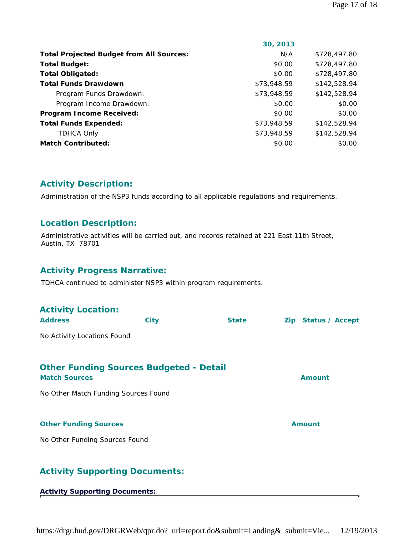|                                                 | 30, 2013    |              |
|-------------------------------------------------|-------------|--------------|
| <b>Total Projected Budget from All Sources:</b> | N/A         | \$728,497.80 |
| <b>Total Budget:</b>                            | \$0.00      | \$728,497.80 |
| <b>Total Obligated:</b>                         | \$0.00      | \$728,497.80 |
| <b>Total Funds Drawdown</b>                     | \$73,948.59 | \$142,528.94 |
| Program Funds Drawdown:                         | \$73,948.59 | \$142,528.94 |
| Program Income Drawdown:                        | \$0.00      | \$0.00       |
| <b>Program Income Received:</b>                 | \$0.00      | \$0.00       |
| <b>Total Funds Expended:</b>                    | \$73,948.59 | \$142,528.94 |
| <b>TDHCA Only</b>                               | \$73,948.59 | \$142,528.94 |
| <b>Match Contributed:</b>                       | \$0.00      | \$0.00       |

# **Activity Description:**

Administration of the NSP3 funds according to all applicable regulations and requirements.

# **Location Description:**

Administrative activities will be carried out, and records retained at 221 East 11th Street, Austin, TX 78701

## **Activity Progress Narrative:**

TDHCA continued to administer NSP3 within program requirements.

| <b>Activity Location:</b>                                              |      |              |                     |
|------------------------------------------------------------------------|------|--------------|---------------------|
| <b>Address</b>                                                         | City | <b>State</b> | Zip Status / Accept |
| No Activity Locations Found                                            |      |              |                     |
| <b>Other Funding Sources Budgeted - Detail</b><br><b>Match Sources</b> |      |              | <b>Amount</b>       |
| No Other Match Funding Sources Found                                   |      |              |                     |
|                                                                        |      |              |                     |
| <b>Other Funding Sources</b>                                           |      |              | <b>Amount</b>       |
| No Other Funding Sources Found                                         |      |              |                     |
|                                                                        |      |              |                     |
| <b>Activity Supporting Documents:</b>                                  |      |              |                     |

## **Activity Supporting Documents:**

https://drgr.hud.gov/DRGRWeb/qpr.do?\_url=report.do&submit=Landing&\_submit=Vie... 12/19/2013